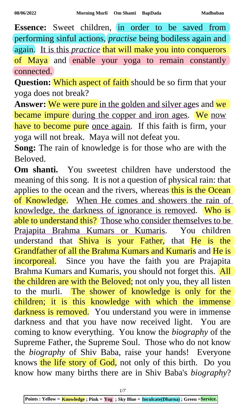**Essence:** Sweet children, in order to be saved from performing sinful actions, *practise* being bodiless again and again. It is this *practice* that will make you into conquerors of Maya and enable your yoga to remain constantly connected.

**Question:** Which aspect of faith should be so firm that your yoga does not break?

Answer: We were pure in the golden and silver ages and we became impure during the copper and iron ages. We now have to become pure once again. If this faith is firm, your yoga will not break. Maya will not defeat you.

**Song:** The rain of knowledge is for those who are with the Beloved.

**Om shanti.** You sweetest children have understood the meaning of this song. It is not a question of physical rain: that applies to the ocean and the rivers, whereas this is the Ocean of Knowledge. When He comes and showers the rain of knowledge, the darkness of ignorance is removed. Who is able to understand this? Those who consider themselves to be Prajapita Brahma Kumars or Kumaris. You children understand that Shiva is your Father, that He is the Grandfather of all the Brahma Kumars and Kumaris and He is incorporeal. Since you have the faith you are Prajapita Brahma Kumars and Kumaris, you should not forget this. All the children are with the Beloved; not only you, they all listen to the murli. The shower of knowledge is only for the children; it is this knowledge with which the immense darkness is removed. You understand you were in immense darkness and that you have now received light. You are coming to know everything. You know the *biography* of the Supreme Father, the Supreme Soul. Those who do not know the *biography* of Shiv Baba, raise your hands! Everyone knows the life story of God, not only of this birth. Do you know how many births there are in Shiv Baba's *biography*?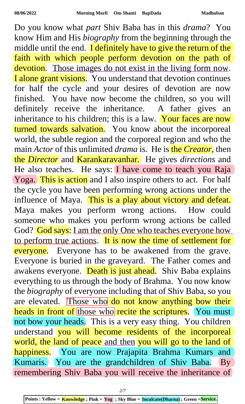Do you know what *part* Shiv Baba has in this *drama*? You know Him and His *biography* from the beginning through the middle until the end. I definitely have to give the return of the faith with which people perform devotion on the path of devotion. Those images do not exist in the living form now. I alone grant visions. You understand that devotion continues for half the cycle and your desires of devotion are now finished. You have now become the children, so you will definitely receive the inheritance. A father gives an inheritance to his children; this is a law. Your faces are now turned towards salvation. You know about the incorporeal world, the subtle region and the corporeal region and who the main *Actor* of this unlimited *drama* is. He is the *Creator*, then the *Director* and Karankaravanhar. He gives *directions* and He also teaches. He says: I have come to teach you Raja Yoga. This is action and I also inspire others to act. For half the cycle you have been performing wrong actions under the influence of Maya. This is a play about victory and defeat. Maya makes you perform wrong actions. How could someone who makes you perform wrong actions be called God? God says: I am the only One who teaches everyone how to perform true actions. It is now the time of settlement for everyone. Everyone has to be awakened from the grave. Everyone is buried in the graveyard. The Father comes and awakens everyone. Death is just ahead. Shiv Baba explains everything to us through the body of Brahma. You now know the *biography* of everyone including that of Shiv Baba, so you are elevated. Those who do not know anything bow their heads in front of those who recite the scriptures. You must not bow your heads. This is a very easy thing. You children understand you will become residents of the incorporeal world, the land of peace and then you will go to the land of happiness. You are now Prajapita Brahma Kumars and Kumaris. You are the grandchildren of Shiv Baba. By remembering Shiv Baba you will receive the inheritance of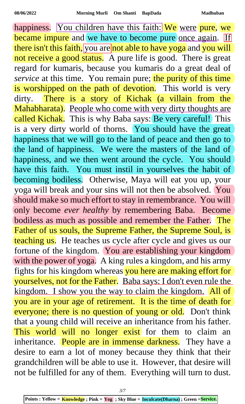happiness. You children have this faith: We were pure, we became impure and we have to become pure once again. If there isn't this faith, you are not able to have yoga and you will not receive a good status. A pure life is good. There is great regard for kumaris, because you kumaris do a great deal of *service* at this time. You remain pure; the purity of this time is worshipped on the path of devotion. This world is very dirty. There is a story of Kichak (a villain from the Mahabharata). People who come with very dirty thoughts are called Kichak. This is why Baba says: Be very careful! This is a very dirty world of thorns. You should have the great happiness that we will go to the land of peace and then go to the land of happiness. We were the masters of the land of happiness, and we then went around the cycle. You should have this faith. You must instil in yourselves the habit of becoming bodiless. Otherwise, Maya will eat you up, your yoga will break and your sins will not then be absolved. You should make so much effort to stay in remembrance. You will only become *ever healthy* by remembering Baba. Become bodiless as much as possible and remember the Father. The Father of us souls, the Supreme Father, the Supreme Soul, is teaching us. He teaches us cycle after cycle and gives us our fortune of the kingdom. You are establishing your kingdom with the power of yoga. A king rules a kingdom, and his army fights for his kingdom whereas you here are making effort for yourselves, not for the Father. Baba says: I don't even rule the kingdom. I show you the way to claim the kingdom. All of you are in your age of retirement. It is the time of death for everyone; there is no question of young or old. Don't think that a young child will receive an inheritance from his father. This world will no longer exist for them to claim an inheritance. People are in immense darkness. They have a desire to earn a lot of money because they think that their grandchildren will be able to use it. However, that desire will not be fulfilled for any of them. Everything will turn to dust.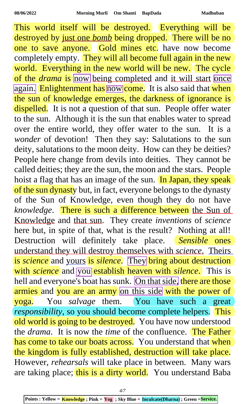This world itself will be destroyed. Everything will be destroyed by just one *bomb* being dropped. There will be no one to save anyone. Gold mines etc. have now become completely empty. They will all become full again in the new world. Everything in the new world will be new. The cycle of the *drama* is now being completed and it will start once again. Enlightenment has now come. It is also said that when the sun of knowledge emerges, the darkness of ignorance is dispelled. It is not a question of that sun. People offer water to the sun. Although it is the sun that enables water to spread over the entire world, they offer water to the sun. It is a *wonder* of devotion! Then they say: Salutations to the sun deity, salutations to the moon deity. How can they be deities? People here change from devils into deities. They cannot be called deities; they are the sun, the moon and the stars. People hoist a flag that has an image of the sun. In Japan, they speak of the sun dynasty but, in fact, everyone belongs to the dynasty of the Sun of Knowledge, even though they do not have *knowledge*. There is such a difference between the Sun of Knowledge and that sun. They create *inventions* of *science* here but, in spite of that, what is the result? Nothing at all! Destruction will definitely take place. *Sensible* ones understand they will destroy themselves with *science*. Theirs is *science* and yours is *silence*. They bring about destruction with *science* and you establish heaven with *silence*. This is hell and everyone's boat has sunk. On that side, there are those armies and you are an army on this side with the power of yoga. You *salvage* them. You have such a great *responsibility*, so you should become complete helpers. This old world is going to be destroyed. You have now understood the *drama*. It is now the *time* of the confluence. The Father has come to take our boats across. You understand that when the kingdom is fully established, destruction will take place. However, *rehearsals* will take place in between. Many wars are taking place; this is a dirty world. You understand Baba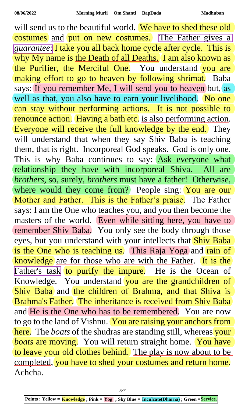will send us to the beautiful world. We have to shed these old costumes and put on new costumes. The Father gives a *guarantee*: I take you all back home cycle after cycle. This is why My name is the Death of all Deaths. I am also known as the Purifier, the Merciful One. You understand you are making effort to go to heaven by following shrimat. Baba says: If you remember Me, I will send you to heaven but, as well as that, you also have to earn your livelihood. No one can stay without performing actions. It is not possible to renounce action. Having a bath etc. is also performing action. Everyone will receive the full knowledge by the end. They will understand that when they say Shiv Baba is teaching them, that is right. Incorporeal God speaks. God is only one. This is why Baba continues to say: Ask everyone what relationship they have with incorporeal Shiva. All are *brothers*, so, surely, *brothers* must have a father! Otherwise, where would they come from? People sing: You are our Mother and Father. This is the Father's praise. The Father says: I am the One who teaches you, and you then become the masters of the world. Even while sitting here, you have to remember Shiv Baba. You only see the body through those eyes, but you understand with your intellects that **Shiv Baba** is the One who is teaching us. This Raja Yoga and rain of knowledge are for those who are with the Father. It is the Father's task to purify the impure. He is the Ocean of Knowledge. You understand you are the grandchildren of Shiv Baba and the children of Brahma, and that Shiva is Brahma's Father. The inheritance is received from Shiv Baba and He is the One who has to be remembered. You are now to go to the land of Vishnu. You are raising your anchors from here. The *boats* of the shudras are standing still, whereas your *boats* are moving. You will return straight home. You have to leave your old clothes behind. The play is now about to be completed, you have to shed your costumes and return home. Achcha.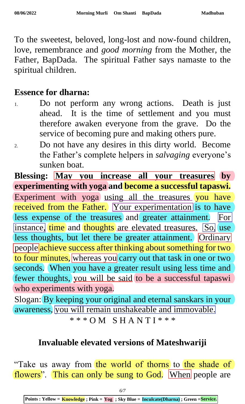To the sweetest, beloved, long-lost and now-found children, love, remembrance and *good morning* from the Mother, the Father, BapDada. The spiritual Father says namaste to the spiritual children.

## **Essence for dharna:**

- 1. Do not perform any wrong actions. Death is just ahead. It is the time of settlement and you must therefore awaken everyone from the grave. Do the service of becoming pure and making others pure.
- 2. Do not have any desires in this dirty world. Become the Father's complete helpers in *salvaging* everyone's sunken boat.

## **Blessing: May you increase all your treasures by experimenting with yoga and become a successful tapaswi.**

Experiment with yoga using all the treasures you have received from the Father. Your experimentation is to have less expense of the treasures and greater attainment. For instance, time and thoughts are elevated treasures. So, use less thoughts, but let there be greater attainment. Ordinary people achieve success after thinking about something for two to four minutes, whereas you carry out that task in one or two seconds. When you have a greater result using less time and fewer thoughts, you will be said to be a successful tapaswi who experiments with yoga.

Slogan: By keeping your original and eternal sanskars in your awareness, you will remain unshakeable and immovable. \* \* \* O M S H A N T I \* \* \*

## **Invaluable elevated versions of Mateshwariji**

"Take us away from the world of thorns to the shade of flowers'. This can only be sung to God. When people are

**Points : Yellow = Knowledge ; Pink = Yog ; Sky Blue = Inculcate(Dharna) ; Green =Service.**